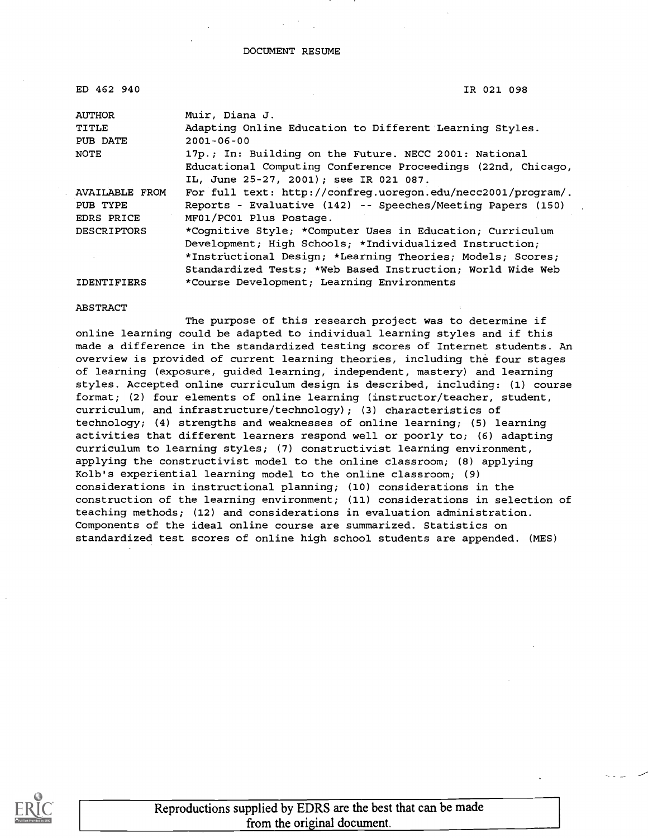#### DOCUMENT RESUME

| ED 462 940         | IR 021 098                                                   |
|--------------------|--------------------------------------------------------------|
| <b>AUTHOR</b>      | Muir, Diana J.                                               |
| TITLE              | Adapting Online Education to Different Learning Styles.      |
| PUB DATE           | $2001 - 06 - 00$                                             |
| NOTE               | 17p.; In: Building on the Future. NECC 2001: National        |
|                    | Educational Computing Conference Proceedings (22nd, Chicago, |
|                    | IL, June 25-27, 2001); see IR 021 087.                       |
| AVAILABLE FROM     | For full text: http://confreq.uoregon.edu/necc2001/program/. |
| PUB TYPE           | Reports - Evaluative (142) -- Speeches/Meeting Papers (150)  |
| EDRS PRICE         | MF01/PC01 Plus Postage.                                      |
| <b>DESCRIPTORS</b> | *Cognitive Style; *Computer Uses in Education; Curriculum    |
|                    | Development; High Schools; *Individualized Instruction;      |
|                    | *Instructional Design; *Learning Theories; Models; Scores;   |
|                    | Standardized Tests; *Web Based Instruction; World Wide Web   |
| <b>IDENTIFIERS</b> | *Course Development; Learning Environments                   |

#### ABSTRACT

The purpose of this research project was to determine if online learning could be adapted to individual learning styles and if this made a difference in the standardized testing scores of Internet students. An overview is provided of current learning theories, including the four stages of learning (exposure, guided learning, independent, mastery) and learning styles. Accepted online curriculum design is described, including: (1) course format; (2) four elements of online learning (instructor/teacher, student, curriculum, and infrastructure/technology); (3) characteristics of technology; (4) strengths and weaknesses of online learning; (5) learning activities that different learners respond well or poorly to; (6) adapting curriculum to learning styles; (7) constructivist learning environment, applying the constructivist model to the online classroom; (8) applying Kolb's experiential learning model to the online classroom; (9) considerations in instructional planning; (10) considerations in the construction of the learning environment; (11) considerations in selection of teaching methods; (12) and considerations in evaluation administration. Components of the ideal online course are summarized. Statistics on standardized test scores of online high school students are appended. (MES)



Reproductions supplied by EDRS are the best that can be made from the original document.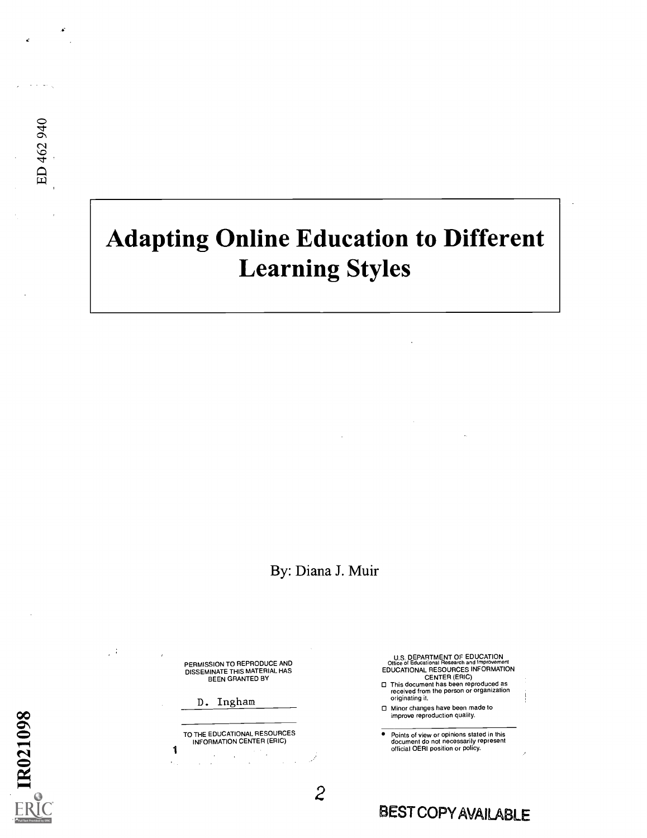# Adapting Online Education to Different Learning Styles

By: Diana J. Muir

y i

PERMISSION TO REPRODUCE AND<br>DISSEMINATE THIS MATERIAL HAS<br>BEEN GRANTED BY

D. Ingham

1 TO THE EDUCATIONAL RESOURCES INFORMATION CENTER (ERIC)

 $\bar{z}$  $\sim$ 

U.S. DEPARTMENT OF EDUCATION<br>Office of Educational Research and Improvement<br>EDUCATIONAL RESOURCES INFORMATION<br>CENTER (ERIC)

O This document has been reproduced as received from the person or organization originating it.

O Minor changes have been made to improve reproduction quality.

Points of view or opinions stated in this document do not necessarily represent official OERI position or policy.

## 2 BEST COPY AVAILABLE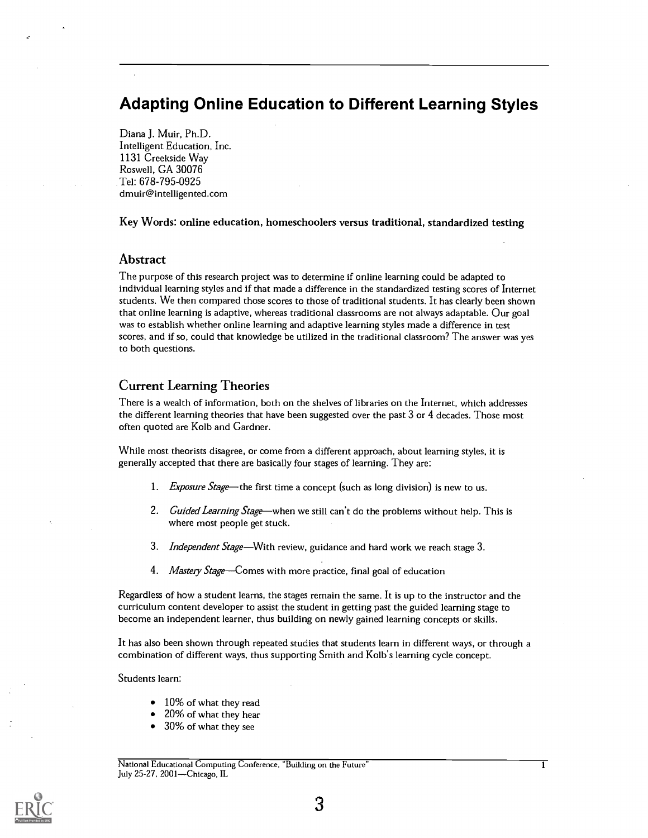## Adapting Online Education to Different Learning Styles

Diana J. Muir, Ph.D. Intelligent Education, Inc. 1131 Creekside Way Roswell, GA 30076 Tel: 678-795-0925 dmuir@intelligented.com

Key Words: online education, homeschoolers versus traditional, standardized testing

#### Abstract

The purpose of this research project was to determine if online learning could be adapted to individual learning styles and if that made a difference in the standardized testing scores of Internet students. We then compared those scores to those of traditional students. It has clearly been shown that online learning is adaptive, whereas traditional classrooms are not always adaptable. Our goal was to establish whether online learning and adaptive learning styles made a difference in test scores, and if so, could that knowledge be utilized in the traditional classroom? The answer was yes to both questions.

#### Current Learning Theories

There is a wealth of information, both on the shelves of libraries on the Internet, which addresses the different learning theories that have been suggested over the past 3 or 4 decades. Those most often quoted are Kolb and Gardner.

While most theorists disagree, or come from a different approach, about learning styles, it is generally accepted that there are basically four stages of learning. They are:

- 1. *Exposure Stage*—the first time a concept (such as long division) is new to us.
- 2. Guided Learning Stage—when we still can't do the problems without help. This is where most people get stuck.
- 3. Independent Stage—With review, guidance and hard work we reach stage 3.
- 4. Mastery Stage—Comes with more practice, final goal of education

Regardless of how a student learns, the stages remain the same. It is up to the instructor and the curriculum content developer to assist the student in getting past the guided learning stage to become an independent learner, thus building on newly gained learning concepts or skills.

It has also been shown through repeated studies that students learn in different ways, or through a combination of different ways, thus supporting Smith and Kolb's learning cycle concept.

Students learn:

- 10% of what they read
- 20% of what they hear
- 30% of what they see

National Educational Computing Conference, "Building on the Future" 1 July 25-27, 2001—Chicago, IL

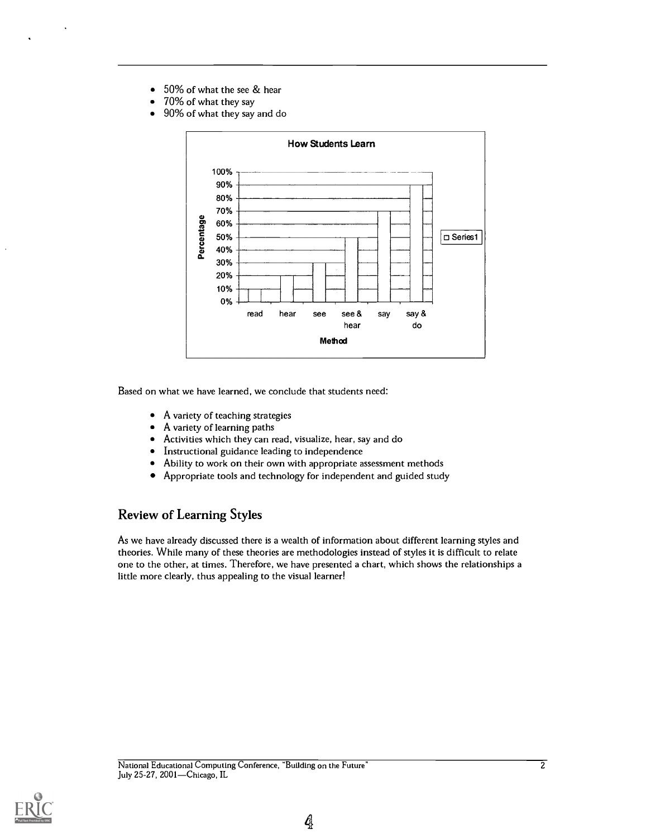- 50% of what the see & hear  $\bullet$
- 70% of what they say  $\bullet$
- 90% of what they say and do  $\blacksquare$



Based on what we have learned, we conclude that students need:

- $\bullet$ A variety of teaching strategies
- A variety of learning paths
- $\bullet$ Activities which they can read, visualize, hear, say and do
- Instructional guidance leading to independence
- Ability to work on their own with appropriate assessment methods
- $\bullet$ Appropriate tools and technology for independent and guided study

#### Review of Learning Styles

As we have already discussed there is a wealth of information about different learning styles and theories. While many of these theories are methodologies instead of styles it is difficult to relate one to the other, at times. Therefore, we have presented a chart, which shows the relationships a little more clearly, thus appealing to the visual learner!

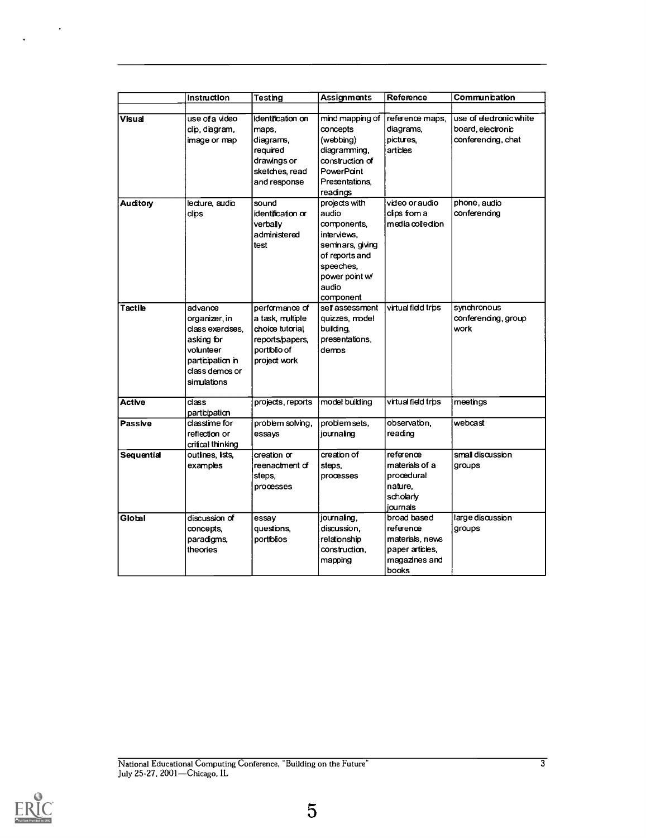|                                                                                                     | Instruction                                                                                                                                                                                                                                                                     | <b>Testing</b>                                                                                       | <b>Assignments</b>                                                                                                                              | Reference                                                                    | Communication                                                              |  |
|-----------------------------------------------------------------------------------------------------|---------------------------------------------------------------------------------------------------------------------------------------------------------------------------------------------------------------------------------------------------------------------------------|------------------------------------------------------------------------------------------------------|-------------------------------------------------------------------------------------------------------------------------------------------------|------------------------------------------------------------------------------|----------------------------------------------------------------------------|--|
|                                                                                                     |                                                                                                                                                                                                                                                                                 |                                                                                                      |                                                                                                                                                 |                                                                              |                                                                            |  |
| Visual                                                                                              | use of a video<br>dip, diagram,<br>image or map                                                                                                                                                                                                                                 | identification on<br>maps,<br>diagrams,<br>required<br>drawings or<br>sketches, read<br>and response | mind mapping of<br>concepts<br>(webbing)<br>diagramming,<br>construction of<br>PowerPant<br>Presentations,<br>readings                          | reference maps,<br>diagrams,<br>pictures.<br>articles                        | use of electronic white<br>board, electronic<br>conferencing, chat         |  |
| Auditory<br>lecture audio<br>dips                                                                   |                                                                                                                                                                                                                                                                                 | sound<br>identification or<br>verbally<br>administered<br>test                                       | projects with<br>audio<br>components,<br>interviews,<br>seminars, giving<br>of reports and<br>speeches.<br>power point w/<br>audio<br>component | video or audio<br>cips fom a<br>media collection                             | phone, audio<br>conferencing<br>synchronous<br>conferencing, group<br>work |  |
| Tactile                                                                                             | performance of<br>advance<br>organizer, in<br>a task, multiple<br>dass exercises,<br>choice tutorial<br>building,<br>presentations,<br>reports/papers,<br>asking for<br>volunteer<br>portiblio of<br>demos<br>participation in<br>project work<br>class demos or<br>simulations |                                                                                                      | self assessment<br>quizzes, model                                                                                                               | virtual field trps                                                           |                                                                            |  |
| <b>Active</b>                                                                                       | dass<br>participation                                                                                                                                                                                                                                                           | projects, reports                                                                                    | model building                                                                                                                                  | virtual field trips                                                          | meetings                                                                   |  |
| Passive                                                                                             | dasstme for<br>reflection or<br>critical thinking                                                                                                                                                                                                                               | problem solving,<br>essays                                                                           | problem sets.<br>journaling                                                                                                                     | observation,<br>reading                                                      | webcast                                                                    |  |
| Sequential                                                                                          | outines, ists,<br>examples                                                                                                                                                                                                                                                      | creation or<br>reenactment of<br>steps,<br>processes                                                 | creation of<br>steps,<br>processes                                                                                                              | reference<br>materials of a<br>proœdural<br>nature,<br>scholarly<br>journals | small discussion<br>groups                                                 |  |
| discussion of<br>Global<br>essay<br>questions,<br>concepts,<br>paradigms,<br>portiblios<br>theories |                                                                                                                                                                                                                                                                                 | journaling,<br>discussion,<br>relationship<br>construction,<br>mapping                               | broad based<br>reference<br>materials, news<br>paper articles,<br>magazines and<br>books                                                        | large discussion<br>groups                                                   |                                                                            |  |

 $\bar{\phantom{a}}$ 

 $\ddot{\phantom{0}}$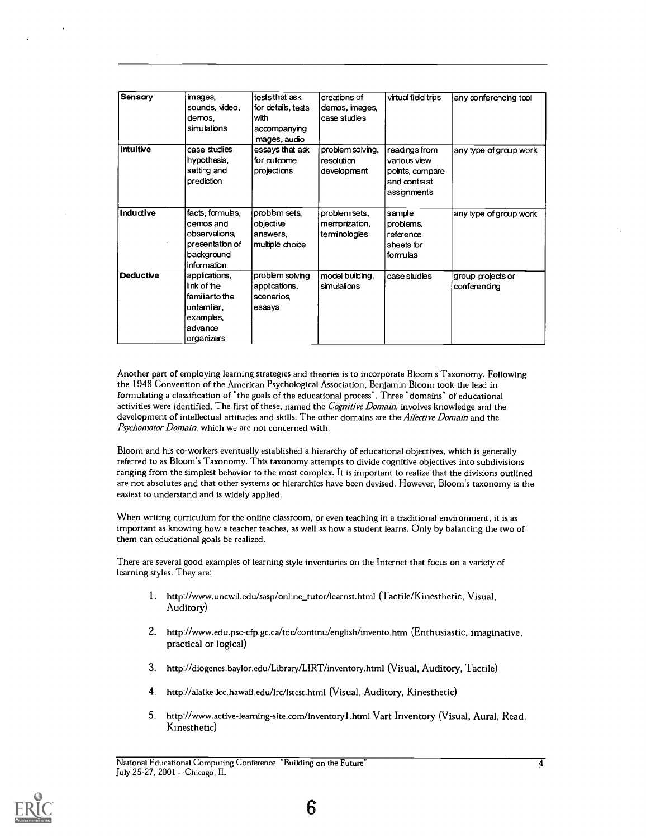| Sensary          | images,          | tests that ask     | creations of     | virtual field trips | any conferencing tool  |
|------------------|------------------|--------------------|------------------|---------------------|------------------------|
|                  | sounds, video,   | for details, tests | demos, mages,    |                     |                        |
|                  | demos.           | with               | case studies     |                     |                        |
|                  | simulations      | accompanying       |                  |                     |                        |
|                  |                  | images, audio      |                  |                     |                        |
| Intuitive        | case studies.    | essays that ask    | problem solving, | readings from       | any type of group work |
|                  | hypothesis,      | for autcome        | resolution       | various view        |                        |
|                  | setting and      | projections        | development      | points, compare     |                        |
|                  | prediction       |                    |                  | and contrast        |                        |
|                  |                  |                    |                  | assignments         |                        |
| Inductive        | facts, formulas, | problem sets.      | problem sets,    | sample              | any type of group work |
|                  | demos and        | objective          | memorization,    | problems,           |                        |
|                  | observations,    | answers,           | terminologies    | reference           |                        |
|                  | presentation of  | multiple choice    |                  | sheets for          |                        |
|                  | background       |                    |                  | formulas            |                        |
|                  | information      |                    |                  |                     |                        |
| <b>Deductive</b> | applications,    | problem solving    | model building,  | case studies        | group projects or      |
|                  | link of the      | applications,      | simulations      |                     | conferencing           |
|                  | familiar to the  | scenarios          |                  |                     |                        |
|                  | unfamliar,       | essays             |                  |                     |                        |
|                  | examples,        |                    |                  |                     |                        |
|                  | advance          |                    |                  |                     |                        |
|                  | organizers       |                    |                  |                     |                        |

Another part of employing learning strategies and theories is to incorporate Bloom's Taxonomy. Following the 1948 Convention of the American Psychological Association, Benjamin Bloom took the lead in formulating a classification of "the goals of the educational process". Three "domains" of educational activities were identified. The first of these, named the *Cognitive Domain*, involves knowledge and the development of intellectual attitudes and skills. The other domains are the Affective Domain and the Psychomotor Domain, which we are not concerned with.

Bloom and his co-workers eventually established a hierarchy of educational objectives, which is generally referred to as Bloom's Taxonomy. This taxonomy attempts to divide cognitive objectives into subdivisions ranging from the simplest behavior to the most complex. It is important to realize that the divisions outlined are not absolutes and that other systems or hierarchies have been devised. However, Bloom's taxonomy is the easiest to understand and is widely applied.

When writing curriculum for the online classroom, or even teaching in a traditional environment, it is as important as knowing how a teacher teaches, as well as how a student learns. Only by balancing the two of them can educational goals be realized.

There are several good examples of learning style inventories on the Internet that focus on a variety of learning styles. They are:

- 1. http://www.uncwil.edu/sasp/online\_tutor/learnst.html (Tactile/Kinesthetic, Visual, Auditory)
- 2. http://www.edu.psc-cfp.gc.ca/tdc/continu/english/invento.htm (Enthusiastic, imaginative, practical or logical)
- 3. http://diogenes.baylor.edu/Library/LIRT/inventory.html (Visual, Auditory, Tactile)
- 4. http://alaike.lcc.hawaii.edu/lrc/lstest.html (Visual, Auditory, Kinesthetic)
- 5. http://www.active-learning-site.com/inventoryl.html Vart Inventory (Visual, Aural, Read, Kinesthetic)

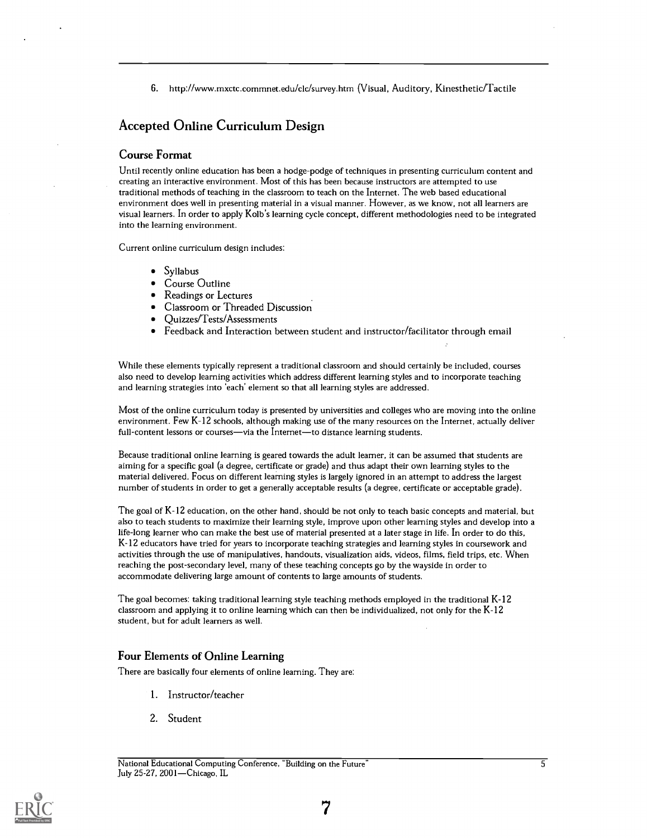6. http://www.mxctc.commnet.edu/c1c/survey.htm (Visual, Auditory, Kinesthetic/Tactile

### Accepted Online Curriculum Design

#### Course Format

Until recently online education has been a hodge-podge of techniques in presenting curriculum content and creating an interactive environment. Most of this has been because instructors are attempted to use traditional methods of teaching in the classroom to teach on the Internet. The web based educational environment does well in presenting material in a visual manner. However, as we know, not all learners are visual learners. In order to apply Kolb's learning cycle concept, different methodologies need to be integrated into the learning environment.

Current online curriculum design includes:

- Syllabus
- Course Outline
- Readings or Lectures
- Classroom or Threaded Discussion  $\bullet$
- $\bullet$ Quizzes/Tests/Assessments
- $\bullet$ Feedback and Interaction between student and instructor/facilitator through email

While these elements typically represent a traditional classroom and should certainly be included, courses also need to develop learning activities which address different learning styles and to incorporate teaching and learning strategies into 'each' element so that all learning styles are addressed.

Most of the online curriculum today is presented by universities and colleges who are moving into the online environment. Few K-12 schools, although making use of the many resources on the Internet, actually deliver full-content lessons or courses-via the Internet-to distance learning students.

Because traditional online learning is geared towards the adult learner, it can be assumed that students are aiming for a specific goal (a degree, certificate or grade) and thus adapt their own learning styles to the material delivered. Focus on different learning styles is largely ignored in an attempt to address the largest number of students in order to get a generally acceptable results (a degree, certificate or acceptable grade).

The goal of K-12 education, on the other hand, should be not only to teach basic concepts and material, but also to teach students to maximize their learning style, improve upon other learning styles and develop into a life-long learner who can make the best use of material presented at a later stage in life. In order to do this, K-12 educators have tried for years to incorporate teaching strategies and learning styles in coursework and activities through the use of manipulatives, handouts, visualization aids, videos, films, field trips, etc. When reaching the post-secondary level, many of these teaching concepts go by the wayside in order to accommodate delivering large amount of contents to large amounts of students.

The goal becomes: taking traditional learning style teaching methods employed in the traditional K-12 classroom and applying it to online learning which can then be individualized, not only for the K-12 student, but for adult learners as well.

#### Four Elements of Online Learning

There are basically four elements of online learning. They are:

- 1. Instructor/teacher
- 2. Student

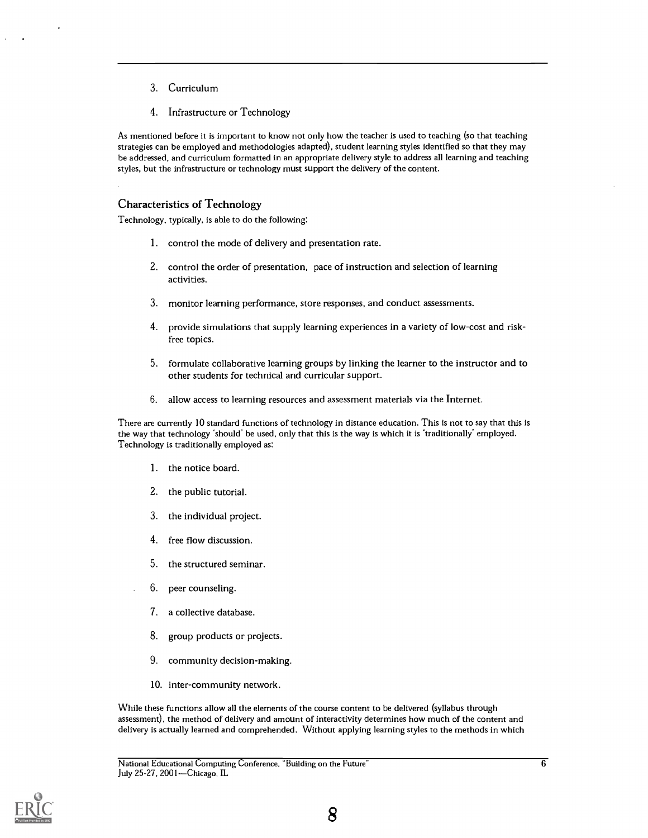- 3. Curriculum
- 4. Infrastructure or Technology

As mentioned before it is important to know not only how the teacher is used to teaching (so that teaching strategies can be employed and methodologies adapted), student learning styles identified so that they may be addressed, and curriculum formatted in an appropriate delivery style to address all learning and teaching styles, but the infrastructure or technology must support the delivery of the content.

#### Characteristics of Technology

Technology, typically, is able to do the following:

- 1. control the mode of delivery and presentation rate.
- 2. control the order of presentation, pace of instruction and selection of learning activities.
- 3. monitor learning performance, store responses, and conduct assessments.
- 4. provide simulations that supply learning experiences in a variety of low-cost and riskfree topics.
- 5. formulate collaborative learning groups by linking the learner to the instructor and to other students for technical and curricular support.
- 6. allow access to learning resources and assessment materials via the Internet.

There are currently 10 standard functions of technology in distance education. This is not to say that this is the way that technology 'should' be used, only that this is the way is which it is 'traditionally' employed. Technology is traditionally employed as:

- 1. the notice board.
- 2. the public tutorial.
- 3. the individual project.
- 4. free flow discussion.
- 5. the structured seminar.
- 6. peer counseling.
- 7. a collective database.
- 8. group products or projects.
- 9. community decision-making.
- 10. inter-community network.

While these functions allow all the elements of the course content to be delivered (syllabus through assessment), the method of delivery and amount of interactivity determines how much of the content and delivery is actually learned and comprehended. Without applying learning styles to the methods in which



 $\overline{6}$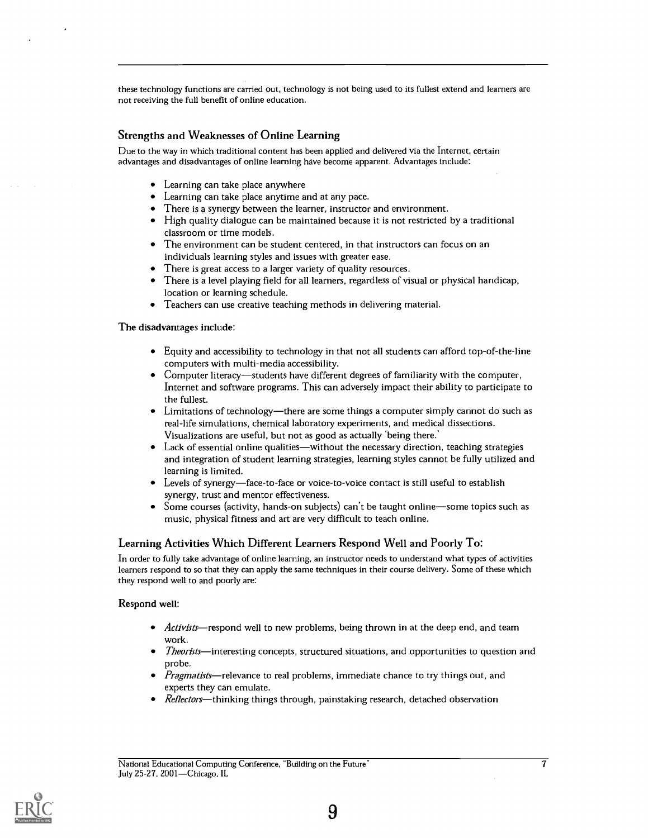these technology functions are carried out, technology is not being used to its fullest extend and learners are not receiving the full benefit of online education.

#### Strengths and Weaknesses of Online Learning

Due to the way in which traditional content has been applied and delivered via the Internet, certain advantages and disadvantages of online learning have become apparent. Advantages include:

- Learning can take place anywhere
- Learning can take place anytime and at any pace.
- There is a synergy between the learner, instructor and environment.
- High quality dialogue can be maintained because it is not restricted by a traditional classroom or time models.
- The environment can be student centered, in that instructors can focus on an individuals learning styles and issues with greater ease.
- There is great access to a larger variety of quality resources.
- There is a level playing field for all learners, regardless of visual or physical handicap, location or learning schedule.
- Teachers can use creative teaching methods in delivering material.

The disadvantages include:

- Equity and accessibility to technology in that not all students can afford top-of-the-line computers with multi-media accessibility.
- Computer literacy—students have different degrees of familiarity with the computer, Internet and software programs. This can adversely impact their ability to participate to the fullest.
- Limitations of technology—there are some things a computer simply cannot do such as real-life simulations, chemical laboratory experiments, and medical dissections. Visualizations are useful, but not as good as actually 'being there.'
- Lack of essential online qualities—without the necessary direction, teaching strategies and integration of student learning strategies, learning styles cannot be fully utilized and learning is limited.
- $\bullet$  Levels of synergy—face-to-face or voice-to-voice contact is still useful to establish synergy, trust and mentor effectiveness.
- Some courses (activity, hands-on subjects) can't be taught online-some topics such as music, physical fitness and art are very difficult to teach online.

#### Learning Activities Which Different Learners Respond Well and Poorly To:

In order to fully take advantage of online learning, an instructor needs to understand what types of activities learners respond to so that they can apply the same techniques in their course delivery. Some of these which they respond well to and poorly are:

#### Respond well:

- Activists—respond well to new problems, being thrown in at the deep end, and team work.
- Theorists—interesting concepts, structured situations, and opportunities to question and probe.
- Pragmatists—relevance to real problems, immediate chance to try things out, and experts they can emulate.
- Reflectors-thinking things through, painstaking research, detached observation

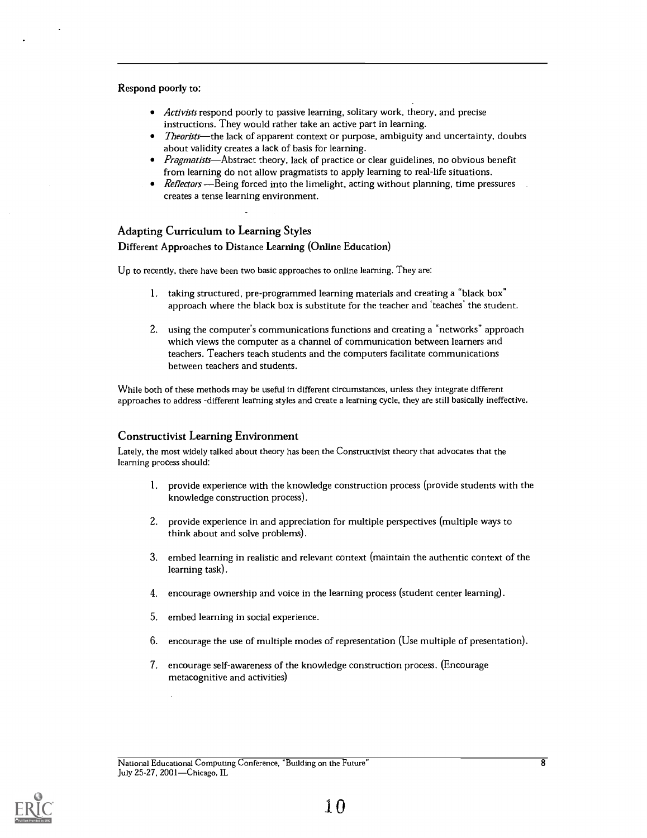#### Respond poorly to:

- *Activists* respond poorly to passive learning, solitary work, theory, and precise instructions. They would rather take an active part in learning.
- Theorists—the lack of apparent context or purpose, ambiguity and uncertainty, doubts about validity creates a lack of basis for learning.
- Pragmatists—Abstract theory, lack of practice or clear guidelines, no obvious benefit from learning do not allow pragmatists to apply learning to real-life situations.
- $\bullet$  Reflectors Being forced into the limelight, acting without planning, time pressures creates a tense learning environment.

#### Adapting Curriculum to Learning Styles

#### Different Approaches to Distance Learning (Online Education)

Up to recently, there have been two basic approaches to online learning. They are:

- 1. taking structured, pre-programmed learning materials and creating a "black box" approach where the black box is substitute for the teacher and `teaches' the student.
- 2. using the computer's communications functions and creating a "networks" approach which views the computer as a channel of communication between learners and teachers. Teachers teach students and the computers facilitate communications between teachers and students.

While both of these methods may be useful in different circumstances, unless they integrate different approaches to address -different learning styles and create a learning cycle, they are still basically ineffective.

#### Constructivist Learning Environment

Lately, the most widely talked about theory has been the Constructivist theory that advocates that the learning process should:

- 1. provide experience with the knowledge construction process (provide students with the knowledge construction process).
- 2. provide experience in and appreciation for multiple perspectives (multiple ways to think about and solve problems).
- 3. embed learning in realistic and relevant context (maintain the authentic context of the learning task).
- 4. encourage ownership and voice in the learning process (student center learning).
- 5. embed learning in social experience.
- 6. encourage the use of multiple modes of representation (Use multiple of presentation).
- 7. encourage self-awareness of the knowledge construction process. (Encourage metacognitive and activities)

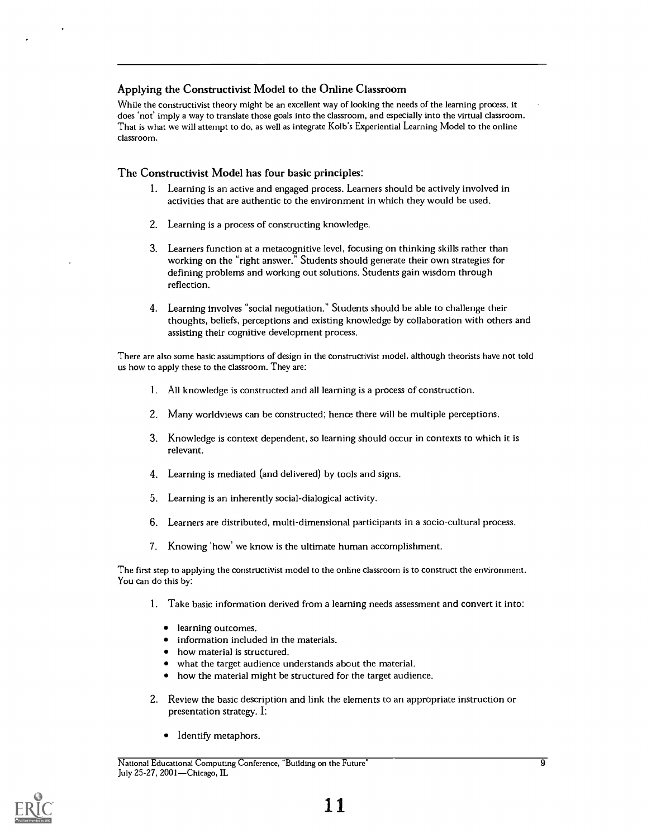#### Applying the Constructivist Model to the Online Classroom

While the constructivist theory might be an excellent way of looking the needs of the learning process, it does 'not' imply a way to translate those goals into the classroom, and especially into the virtual classroom. That is what we will attempt to do, as well as integrate Kolb's Experiential Learning Model to the online classroom.

#### The Constructivist Model has four basic principles:

- 1. Learning is an active and engaged process. Learners should be actively involved in activities that are authentic to the environment in which they would be used.
- 2. Learning is a process of constructing knowledge.
- 3. Learners function at a metacognitive level, focusing on thinking skills rather than working on the "right answer." Students should generate their own strategies for defining problems and working out solutions. Students gain wisdom through reflection.
- 4. Learning involves "social negotiation." Students should be able to challenge their thoughts, beliefs, perceptions and existing knowledge by collaboration with others and assisting their cognitive development process.

There are also some basic assumptions of design in the constructivist model, although theorists have not told us how to apply these to the classroom. They are:

- 1. All knowledge is constructed and all learning is a process of construction.
- 2. Many worldviews can be constructed; hence there will be multiple perceptions.
- 3. Knowledge is context dependent, so learning should occur in contexts to which it is relevant.
- 4. Learning is mediated (and delivered) by tools and signs.
- 5. Learning is an inherently social-dialogical activity.
- 6. Learners are distributed, multi-dimensional participants in a socio-cultural process.
- 7. Knowing 'how' we know is the ultimate human accomplishment.

The first step to applying the constructivist model to the online classroom is to construct the environment. You can do this by:

- 1. Take basic information derived from a learning needs assessment and convert it into:
	- **·** learning outcomes.
	- information included in the materials.
	- how material is structured.
	- what the target audience understands about the material.
	- how the material might be structured for the target audience.  $\bullet$
- 2. Review the basic description and link the elements to an appropriate instruction or presentation strategy. I:
	- Identify metaphors.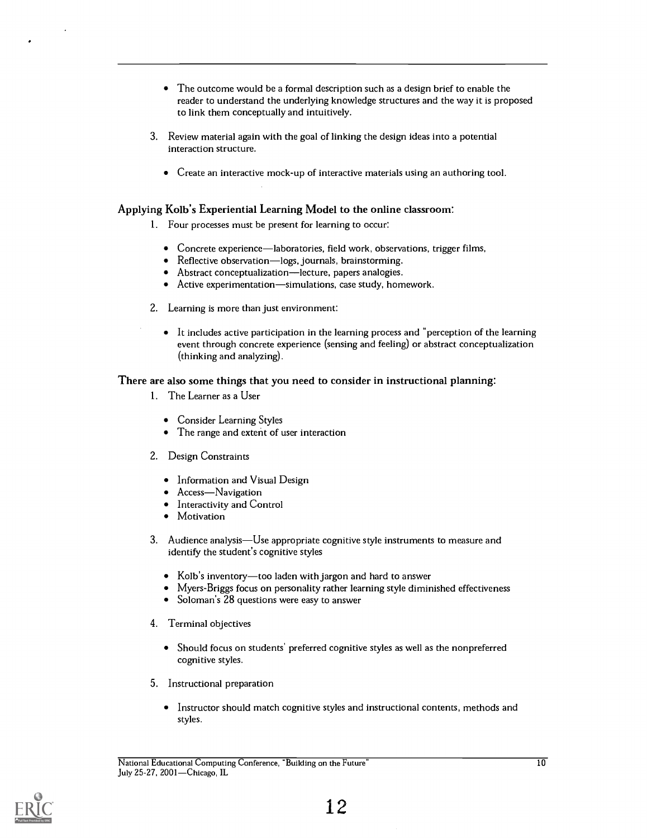- The outcome would be a formal description such as a design brief to enable the reader to understand the underlying knowledge structures and the way it is proposed to link them conceptually and intuitively.
- 3. Review material again with the goal of linking the design ideas into a potential interaction structure.
	- Create an interactive mock-up of interactive materials using an authoring tool.

#### Applying Kolb's Experiential Learning Model to the online classroom:

- 1. Four processes must be present for learning to occur:
	- $\bullet$  Concrete experience—laboratories, field work, observations, trigger films,
	- Reflective observation—logs, journals, brainstorming.
	- Abstract conceptualization—lecture, papers analogies.
	- $\bullet$  Active experimentation—simulations, case study, homework.
- 2. Learning is more than just environment:
	- $\bullet$  It includes active participation in the learning process and "perception of the learning event through concrete experience (sensing and feeling) or abstract conceptualization (thinking and analyzing).

#### There are also some things that you need to consider in instructional planning:

- 1. The Learner as a User
	- Consider Learning Styles
	- The range and extent of user interaction  $\bullet$
- 2. Design Constraints
	- Information and Visual Design
	- Access-Navigation
	- Interactivity and Control
	- Motivation  $\bullet$
- 3. Audience analysis—Use appropriate cognitive style instruments to measure and identify the student's cognitive styles
	- $\bullet$  Kolb's inventory—too laden with jargon and hard to answer
	- Myers-Briggs focus on personality rather learning style diminished effectiveness
	- Soloman's 28 questions were easy to answer
- 4. Terminal objectives
	- $\bullet$ Should focus on students' preferred cognitive styles as well as the nonpreferred cognitive styles.
- 5. Instructional preparation
	- Instructor should match cognitive styles and instructional contents, methods and styles.

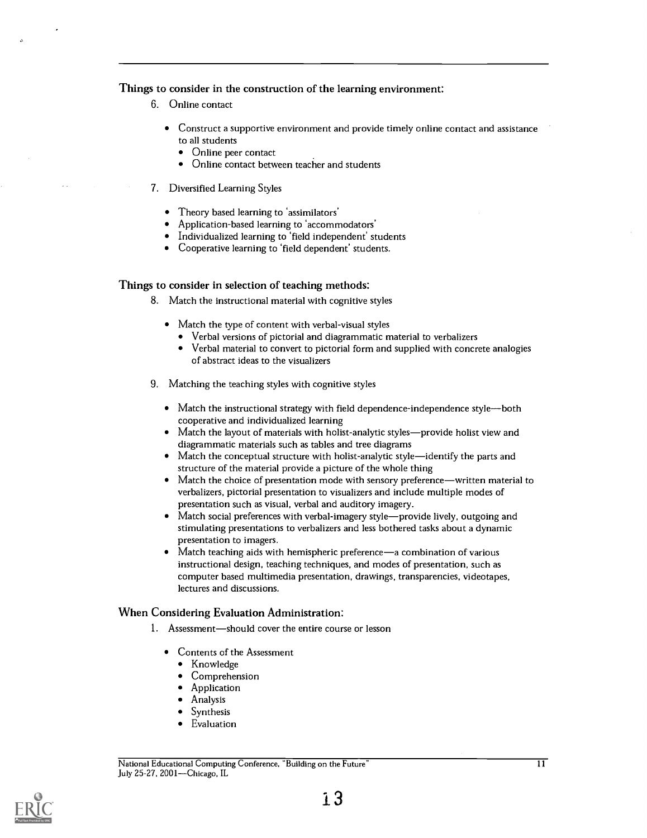#### Things to consider in the construction of the learning environment:

- 6. Online contact
	- Construct a supportive environment and provide timely online contact and assistance to all students
		- $\bullet$ Online peer contact
		- Online contact between teacher and students  $\bullet$
- 7. Diversified Learning Styles
	- Theory based learning to 'assimilators'
	- Application-based learning to 'accommodators'
	- Individualized learning to 'field independent' students
	- Cooperative learning to 'field dependent' students.

#### Things to consider in selection of teaching methods:

- 8. Match the instructional material with cognitive styles
	- Match the type of content with verbal-visual styles
		- Verbal versions of pictorial and diagrammatic material to verbalizers
		- Verbal material to convert to pictorial form and supplied with concrete analogies of abstract ideas to the visualizers
- 9. Matching the teaching styles with cognitive styles
	- $\bullet$  Match the instructional strategy with field dependence-independence style—both cooperative and individualized learning
	- Match the layout of materials with holist-analytic styles—provide holist view and diagrammatic materials such as tables and tree diagrams
	- $\bullet$  Match the conceptual structure with holist-analytic style—identify the parts and structure of the material provide a picture of the whole thing
	- Match the choice of presentation mode with sensory preference-written material to  $\bullet$ verbalizers, pictorial presentation to visualizers and include multiple modes of presentation such as visual, verbal and auditory imagery.
	- Match social preferences with verbal-imagery style—provide lively, outgoing and stimulating presentations to verbalizers and less bothered tasks about a dynamic presentation to imagers.
	- Match teaching aids with hemispheric preference—a combination of various instructional design, teaching techniques, and modes of presentation, such as computer based multimedia presentation, drawings, transparencies, videotapes, lectures and discussions.

#### When Considering Evaluation Administration:

- 1. Assessment-should cover the entire course or lesson
	- Contents of the Assessment
		- Knowledge  $\bullet$
		- Comprehension
		- Application
		- Analysis
		- Synthesis
		- Evaluation

National Educational Computing Conference, Building on the Future 11 July 25-27, 2001-Chicago, IL

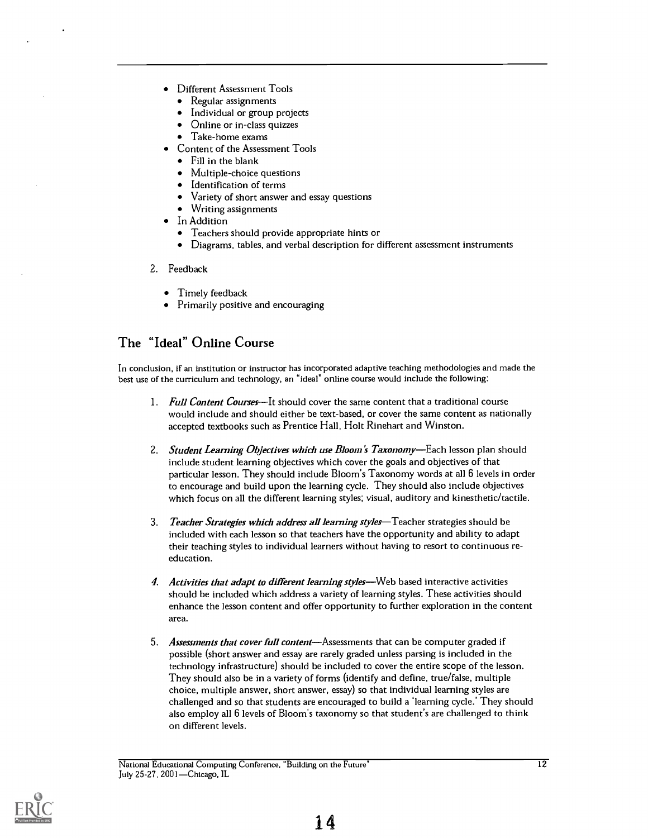- Different Assessment Tools
	- Regular assignments
	- Individual or group projects
	- Online or in-class quizzes
	- Take-home exams
- Content of the Assessment Tools
	- Fill in the blank
	- Multiple-choice questions
	- Identification of terms
	- Variety of short answer and essay questions
	- Writing assignments
- In Addition
	- Teachers should provide appropriate hints or
	- Diagrams, tables, and verbal description for different assessment instruments
- 2. Feedback
	- Timely feedback
	- Primarily positive and encouraging

### The "Ideal" Online Course

In conclusion, if an institution or instructor has incorporated adaptive teaching methodologies and made the best use of the curriculum and technology, an "ideal" online course would include the following:

- 1. Full Content Courses—It should cover the same content that a traditional course would include and should either be text-based, or cover the same content as nationally accepted textbooks such as Prentice Hall, Holt Rinehart and Winston.
- 2. Student Learning Objectives which use Bloom's Taxonomy—Each lesson plan should include student learning objectives which cover the goals and objectives of that particular lesson. They should include Bloom's Taxonomy words at all 6 levels in order to encourage and build upon the learning cycle. They should also include objectives which focus on all the different learning styles; visual, auditory and kinesthetic/tactile.
- 3. Teacher Strategies which address all learning styles—Teacher strategies should be included with each lesson so that teachers have the opportunity and ability to adapt their teaching styles to individual learners without having to resort to continuous reeducation.
- 4. Activities that adapt to different learning styles-Web based interactive activities should be included which address a variety of learning styles. These activities should enhance the lesson content and offer opportunity to further exploration in the content area.
- 5. Assessments that cover full content—Assessments that can be computer graded if possible (short answer and essay are rarely graded unless parsing is included in the technology infrastructure) should be included to cover the entire scope of the lesson. They should also be in a variety of forms (identify and define, true/false, multiple choice, multiple answer, short answer, essay) so that individual learning styles are challenged and so that students are encouraged to build a 'learning cycle.' They should also employ all 6 levels of Bloom's taxonomy so that student's are challenged to think on different levels.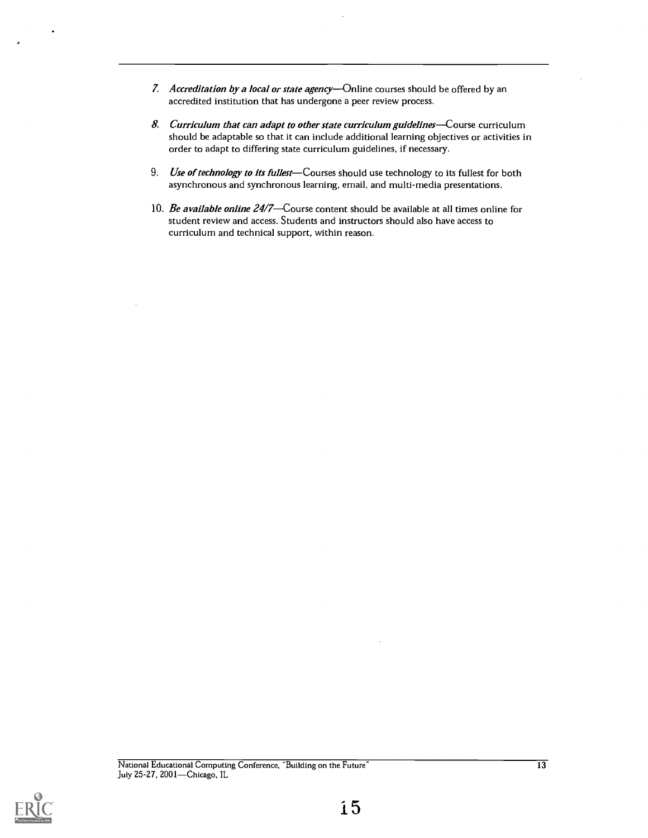- 7. Accreditation by a local or state agency—Online courses should be offered by an accredited institution that has undergone a peer review process.
- 8. Curriculum that can adapt to other state curriculum guidelines—Course curriculum should be adaptable so that it can include additional learning objectives or activities in order to adapt to differing state curriculum guidelines, if necessary.
- 9. Use of technology to its fullest—Courses should use technology to its fullest for both asynchronous and synchronous learning, email, and multi-media presentations.
- 10. Be available online  $24/7$ —Course content should be available at all times online for student review and access. Students and instructors should also have access to curriculum and technical support, within reason.

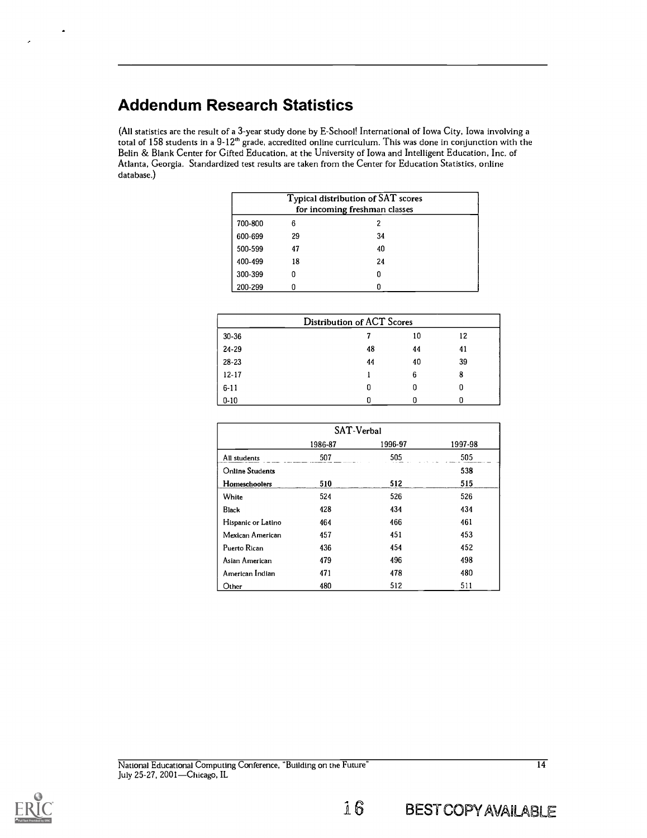## Addendum Research Statistics

(All statistics are the result of a 3-year study done by E-School! International of Iowa City, Iowa involving a total of  $158$  students in a  $9\hbox{-}12^{\text{th}}$  grade, accredited online curriculum. This was done in conjunction with the Belin & Blank Center for Gifted Education, at the University of Iowa and Intelligent Education, Inc. of Atlanta, Georgia. Standardized test results are taken from the Center for Education Statistics, online database.)

|         | Typical distribution of SAT scores<br>for incoming freshman classes |    |  |  |  |
|---------|---------------------------------------------------------------------|----|--|--|--|
| 700-800 | 6                                                                   |    |  |  |  |
| 600-699 | 29                                                                  | 34 |  |  |  |
| 500-599 | 47                                                                  | 40 |  |  |  |
| 400-499 | 18                                                                  | 24 |  |  |  |
| 300-399 |                                                                     |    |  |  |  |
| 200-299 |                                                                     |    |  |  |  |

| <b>Distribution of ACT Scores</b> |    |    |    |  |
|-----------------------------------|----|----|----|--|
| 30-36                             |    | 10 | 12 |  |
| 24-29                             | 48 | 44 | 41 |  |
| $28 - 23$                         | 44 | 40 | 39 |  |
| $12 - 17$                         |    | 6  | 8  |  |
| $6 - 11$                          | 0  |    |    |  |
| $0 - 10$                          |    |    |    |  |

| SAT-Verbal                    |     |     |     |  |  |
|-------------------------------|-----|-----|-----|--|--|
| 1996-97<br>1997-98<br>1986-87 |     |     |     |  |  |
| All students                  | 507 | 505 | 505 |  |  |
| <b>Online Students</b>        |     |     | 538 |  |  |
| Homeschoolers                 | 510 | 512 | 515 |  |  |
| White                         | 524 | 526 | 526 |  |  |
| <b>Black</b>                  | 428 | 434 | 434 |  |  |
| Hispanic or Latino            | 464 | 466 | 461 |  |  |
| Mexican American              | 457 | 451 | 453 |  |  |
| Puerto Rican                  | 436 | 454 | 452 |  |  |
| Asian American                | 479 | 496 | 498 |  |  |
| American Indian               | 471 | 478 | 480 |  |  |
| Other                         | 480 | 512 | 511 |  |  |



 $\ddot{\phantom{0}}$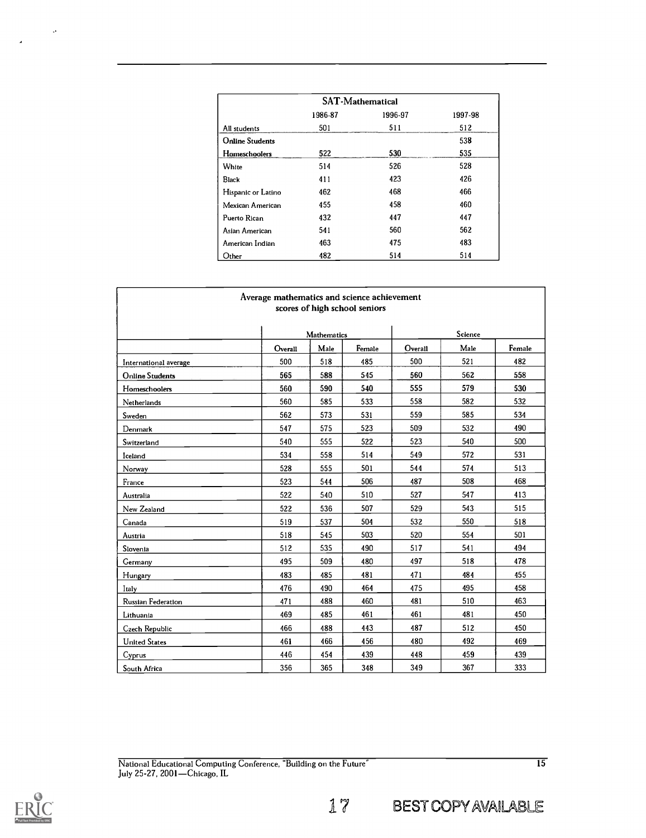| <b>SAT-Mathematical</b> |         |         |         |  |  |
|-------------------------|---------|---------|---------|--|--|
|                         | 1986-87 | 1996-97 | 1997-98 |  |  |
| All students            | 501     | 511     | 512     |  |  |
| <b>Online Students</b>  |         |         | 538     |  |  |
| Homeschoolers           | 522     | 530     | 535     |  |  |
| White                   | 514     | 526     | 528     |  |  |
| <b>Black</b>            | 411     | 423     | 426     |  |  |
| Hispanic or Latino      | 462     | 468     | 466     |  |  |
| Mexican American        | 455     | 458     | 460     |  |  |
| Puerto Rican            | 432     | 447     | 447     |  |  |
| Asian American          | 541     | 560     | 562     |  |  |
| American Indian         | 463     | 475     | 483     |  |  |
| Other                   | 482     | 514     | 514     |  |  |

| Average mathematics and science achievement<br>scores of high school seniors |         |                    |        |         |         |        |  |
|------------------------------------------------------------------------------|---------|--------------------|--------|---------|---------|--------|--|
|                                                                              |         | <b>Mathematics</b> |        |         | Science |        |  |
|                                                                              | Overall | Male               | Female | Overall | Male    | Female |  |
| International average                                                        | 500     | 518                | 485    | 500     | 521     | 482    |  |
| <b>Online Students</b>                                                       | 565     | 588                | 545    | 560     | 562     | 558    |  |
| Homeschoolers                                                                | 560     | 590                | 540    | 555     | 579     | 530    |  |
| Netherlands                                                                  | 560     | 585                | 533    | 558     | 582     | 532    |  |
| Sweden                                                                       | 562     | 573                | 531    | 559     | 585     | 534    |  |
| Denmark                                                                      | 547     | 575                | 523    | 509     | 532     | 490    |  |
| Switzerland                                                                  | 540     | 555                | 522    | 523     | 540     | 500    |  |
| Iceland                                                                      | 534     | 558                | 514    | 549     | 572     | 531    |  |
| Norway                                                                       | 528     | 555                | 501    | 544     | 574     | 513    |  |
| France                                                                       | 523     | 544                | 506    | 487     | 508     | 468    |  |
| Australia                                                                    | 522     | 540                | 510    | 527     | 547     | 413    |  |
| New Zealand                                                                  | 522     | 536                | 507    | 529     | 543     | 515    |  |
| Canada                                                                       | 519     | 537                | 504    | 532     | 550     | 518    |  |
| Austria                                                                      | 518     | 545                | 503    | 520     | 554     | 501    |  |
| Slovenia                                                                     | 512     | 535                | 490    | 517     | 541     | 494    |  |
| Germany                                                                      | 495     | 509                | 480    | 497     | 518     | 478    |  |
| Hungary                                                                      | 483     | 485                | 481    | 471     | 484     | 455    |  |
| Italy                                                                        | 476     | 490                | 464    | 475     | 495     | 458    |  |
| Russian Federation                                                           | 471     | 488                | 460    | 481     | 510     | 463    |  |
| Lithuania                                                                    | 469     | 485                | 461    | 461     | 481     | 450    |  |
| Czech Republic                                                               | 466     | 488                | 443    | 487     | 512     | 450    |  |
| <b>United States</b>                                                         | 461     | 466                | 456    | 480     | 492     | 469    |  |
| Cyprus                                                                       | 446     | 454                | 439    | 448     | 459     | 439    |  |
| South Africa                                                                 | 356     | 365                | 348    | 349     | 367     | 333    |  |

 $\sim$ 

 $\mathcal{L}$